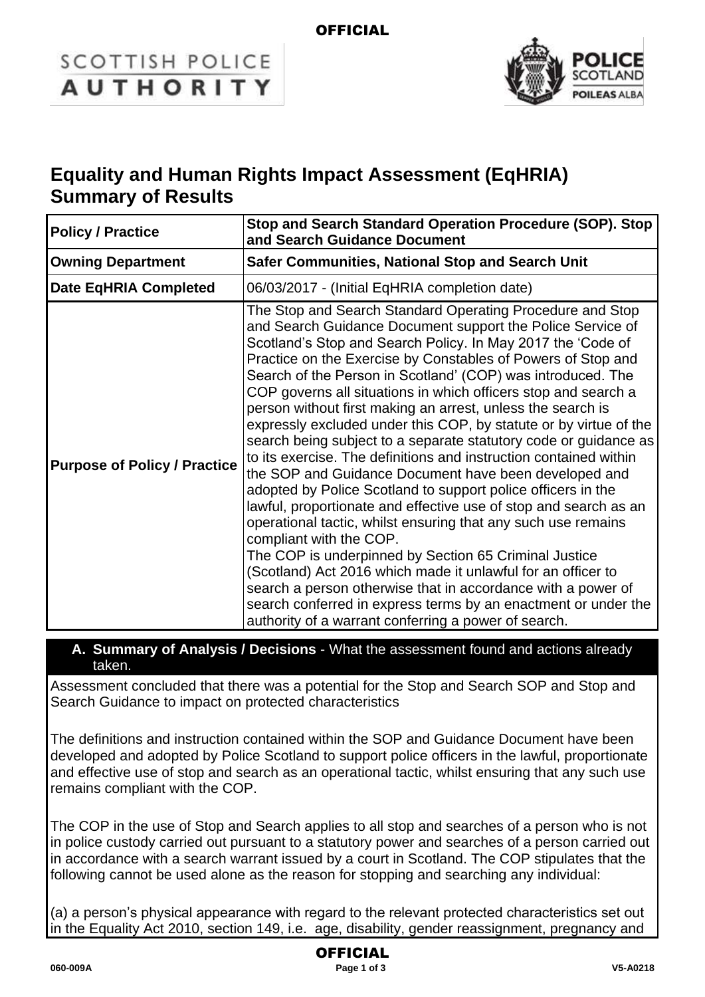# **SCOTTISH POLICE AUTHORITY**



# **Equality and Human Rights Impact Assessment (EqHRIA) Summary of Results**

| <b>Policy / Practice</b>            | Stop and Search Standard Operation Procedure (SOP). Stop<br>and Search Guidance Document                                                                                                                                                                                                                                                                                                                                                                                                                                                                                                                                                                                                                                                                                                                                                                                                                                                                                                                                                                                                                                                                                                                                                                                         |  |
|-------------------------------------|----------------------------------------------------------------------------------------------------------------------------------------------------------------------------------------------------------------------------------------------------------------------------------------------------------------------------------------------------------------------------------------------------------------------------------------------------------------------------------------------------------------------------------------------------------------------------------------------------------------------------------------------------------------------------------------------------------------------------------------------------------------------------------------------------------------------------------------------------------------------------------------------------------------------------------------------------------------------------------------------------------------------------------------------------------------------------------------------------------------------------------------------------------------------------------------------------------------------------------------------------------------------------------|--|
| <b>Owning Department</b>            | <b>Safer Communities, National Stop and Search Unit</b>                                                                                                                                                                                                                                                                                                                                                                                                                                                                                                                                                                                                                                                                                                                                                                                                                                                                                                                                                                                                                                                                                                                                                                                                                          |  |
| <b>Date EqHRIA Completed</b>        | 06/03/2017 - (Initial EqHRIA completion date)                                                                                                                                                                                                                                                                                                                                                                                                                                                                                                                                                                                                                                                                                                                                                                                                                                                                                                                                                                                                                                                                                                                                                                                                                                    |  |
| <b>Purpose of Policy / Practice</b> | The Stop and Search Standard Operating Procedure and Stop<br>and Search Guidance Document support the Police Service of<br>Scotland's Stop and Search Policy. In May 2017 the 'Code of<br>Practice on the Exercise by Constables of Powers of Stop and<br>Search of the Person in Scotland' (COP) was introduced. The<br>COP governs all situations in which officers stop and search a<br>person without first making an arrest, unless the search is<br>expressly excluded under this COP, by statute or by virtue of the<br>search being subject to a separate statutory code or guidance as<br>to its exercise. The definitions and instruction contained within<br>the SOP and Guidance Document have been developed and<br>adopted by Police Scotland to support police officers in the<br>lawful, proportionate and effective use of stop and search as an<br>operational tactic, whilst ensuring that any such use remains<br>compliant with the COP.<br>The COP is underpinned by Section 65 Criminal Justice<br>(Scotland) Act 2016 which made it unlawful for an officer to<br>search a person otherwise that in accordance with a power of<br>search conferred in express terms by an enactment or under the<br>authority of a warrant conferring a power of search. |  |

#### **A. Summary of Analysis / Decisions** - What the assessment found and actions already taken.

Assessment concluded that there was a potential for the Stop and Search SOP and Stop and Search Guidance to impact on protected characteristics

The definitions and instruction contained within the SOP and Guidance Document have been developed and adopted by Police Scotland to support police officers in the lawful, proportionate and effective use of stop and search as an operational tactic, whilst ensuring that any such use remains compliant with the COP.

The COP in the use of Stop and Search applies to all stop and searches of a person who is not in police custody carried out pursuant to a statutory power and searches of a person carried out in accordance with a search warrant issued by a court in Scotland. The COP stipulates that the following cannot be used alone as the reason for stopping and searching any individual:

(a) a person's physical appearance with regard to the relevant protected characteristics set out in the Equality Act 2010, section 149, i.e. age, disability, gender reassignment, pregnancy and

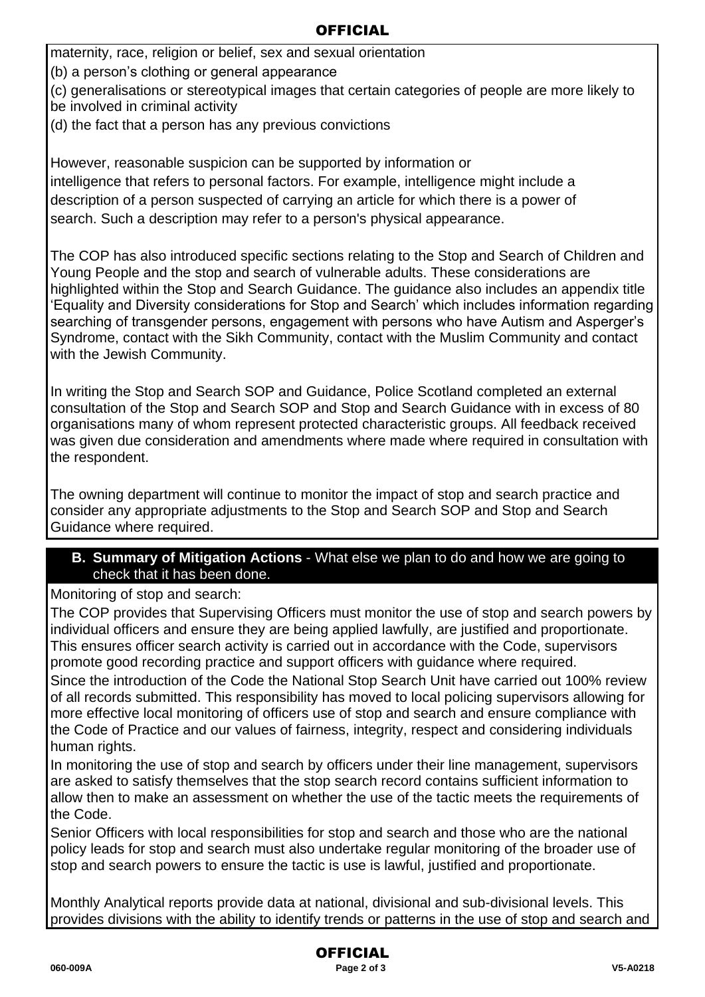## **OFFICIAL**

maternity, race, religion or belief, sex and sexual orientation

(b) a person's clothing or general appearance

(c) generalisations or stereotypical images that certain categories of people are more likely to be involved in criminal activity

(d) the fact that a person has any previous convictions

However, reasonable suspicion can be supported by information or intelligence that refers to personal factors. For example, intelligence might include a description of a person suspected of carrying an article for which there is a power of search. Such a description may refer to a person's physical appearance.

The COP has also introduced specific sections relating to the Stop and Search of Children and Young People and the stop and search of vulnerable adults. These considerations are highlighted within the Stop and Search Guidance. The guidance also includes an appendix title 'Equality and Diversity considerations for Stop and Search' which includes information regarding searching of transgender persons, engagement with persons who have Autism and Asperger's Syndrome, contact with the Sikh Community, contact with the Muslim Community and contact with the Jewish Community.

In writing the Stop and Search SOP and Guidance, Police Scotland completed an external consultation of the Stop and Search SOP and Stop and Search Guidance with in excess of 80 organisations many of whom represent protected characteristic groups. All feedback received was given due consideration and amendments where made where required in consultation with the respondent.

The owning department will continue to monitor the impact of stop and search practice and consider any appropriate adjustments to the Stop and Search SOP and Stop and Search Guidance where required.

#### **B. Summary of Mitigation Actions** - What else we plan to do and how we are going to check that it has been done.

Monitoring of stop and search:

The COP provides that Supervising Officers must monitor the use of stop and search powers by individual officers and ensure they are being applied lawfully, are justified and proportionate. This ensures officer search activity is carried out in accordance with the Code, supervisors promote good recording practice and support officers with guidance where required.

Since the introduction of the Code the National Stop Search Unit have carried out 100% review of all records submitted. This responsibility has moved to local policing supervisors allowing for more effective local monitoring of officers use of stop and search and ensure compliance with the Code of Practice and our values of fairness, integrity, respect and considering individuals human rights.

In monitoring the use of stop and search by officers under their line management, supervisors are asked to satisfy themselves that the stop search record contains sufficient information to allow then to make an assessment on whether the use of the tactic meets the requirements of the Code.

Senior Officers with local responsibilities for stop and search and those who are the national policy leads for stop and search must also undertake regular monitoring of the broader use of stop and search powers to ensure the tactic is use is lawful, justified and proportionate.

Monthly Analytical reports provide data at national, divisional and sub-divisional levels. This provides divisions with the ability to identify trends or patterns in the use of stop and search and